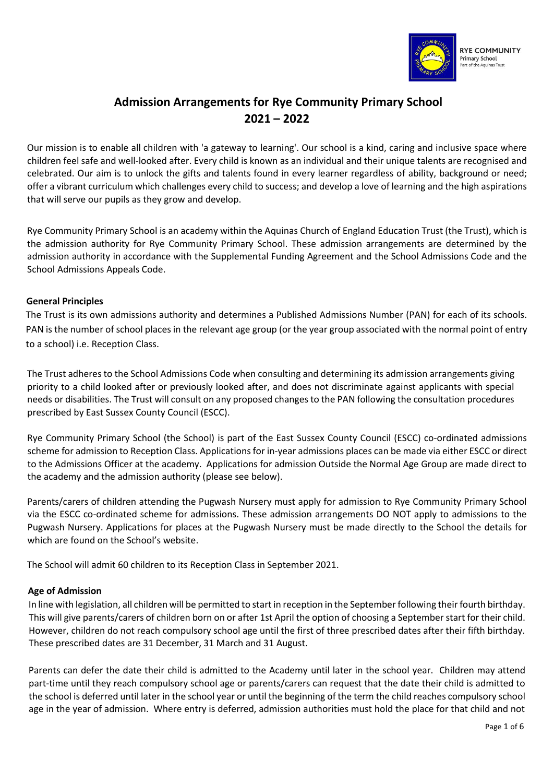

# **Admission Arrangements for Rye Community Primary School 2021 – 2022**

Our mission is to enable all children with 'a gateway to learning'. Our school is a kind, caring and inclusive space where children feel safe and well-looked after. Every child is known as an individual and their unique talents are recognised and celebrated. Our aim is to unlock the gifts and talents found in every learner regardless of ability, background or need; offer a vibrant curriculum which challenges every child to success; and develop a love of learning and the high aspirations that will serve our pupils as they grow and develop.

Rye Community Primary School is an academy within the Aquinas Church of England Education Trust (the Trust), which is the admission authority for Rye Community Primary School. These admission arrangements are determined by the admission authority in accordance with the Supplemental Funding Agreement and the School Admissions Code and the School Admissions Appeals Code.

# **General Principles**

The Trust is its own admissions authority and determines a Published Admissions Number (PAN) for each of its schools. PAN is the number of school places in the relevant age group (or the year group associated with the normal point of entry to a school) i.e. Reception Class.

The Trust adheres to the School Admissions Code when consulting and determining its admission arrangements giving priority to a child looked after or previously looked after, and does not discriminate against applicants with special needs or disabilities. The Trust will consult on any proposed changes to the PAN following the consultation procedures prescribed by East Sussex County Council (ESCC).

Rye Community Primary School (the School) is part of the East Sussex County Council (ESCC) co-ordinated admissions scheme for admission to Reception Class. Applications for in-year admissions places can be made via either ESCC or direct to the Admissions Officer at the academy. Applications for admission Outside the Normal Age Group are made direct to the academy and the admission authority (please see below).

Parents/carers of children attending the Pugwash Nursery must apply for admission to Rye Community Primary School via the ESCC co-ordinated scheme for admissions. These admission arrangements DO NOT apply to admissions to the Pugwash Nursery. Applications for places at the Pugwash Nursery must be made directly to the School the details for which are found on the School's website.

The School will admit 60 children to its Reception Class in September 2021.

# **Age of Admission**

In line with legislation, all children will be permitted to start in reception in the September following their fourth birthday. This will give parents/carers of children born on or after 1st April the option of choosing a September start for their child. However, children do not reach compulsory school age until the first of three prescribed dates after their fifth birthday. These prescribed dates are 31 December, 31 March and 31 August.

Parents can defer the date their child is admitted to the Academy until later in the school year. Children may attend part-time until they reach compulsory school age or parents/carers can request that the date their child is admitted to the school is deferred until later in the school year or until the beginning of the term the child reaches compulsory school age in the year of admission. Where entry is deferred, admission authorities must hold the place for that child and not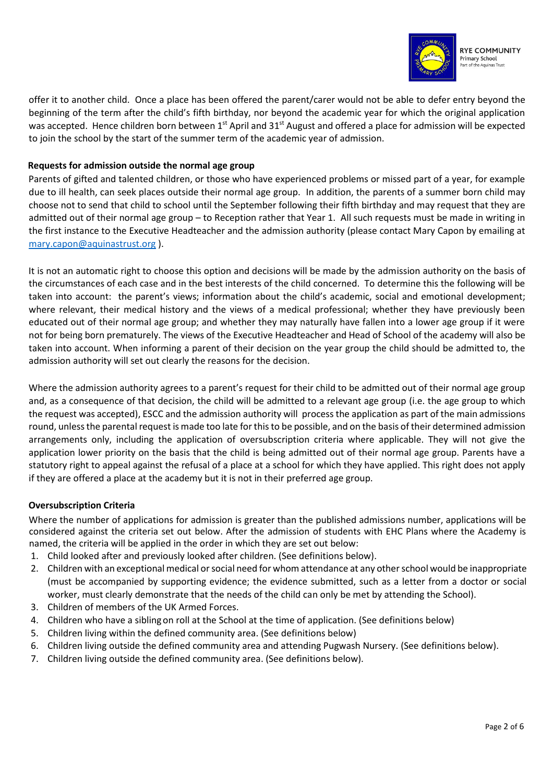

offer it to another child. Once a place has been offered the parent/carer would not be able to defer entry beyond the beginning of the term after the child's fifth birthday, nor beyond the academic year for which the original application was accepted. Hence children born between 1<sup>st</sup> April and 31<sup>st</sup> August and offered a place for admission will be expected to join the school by the start of the summer term of the academic year of admission.

# **Requests for admission outside the normal age group**

Parents of gifted and talented children, or those who have experienced problems or missed part of a year, for example due to ill health, can seek places outside their normal age group. In addition, the parents of a summer born child may choose not to send that child to school until the September following their fifth birthday and may request that they are admitted out of their normal age group – to Reception rather that Year 1. All such requests must be made in writing in the first instance to the Executive Headteacher and the admission authority (please contact Mary Capon by emailing at [mary.capon@aquinastrust.org](mailto:mary.capon@aquinastrust.org) ).

It is not an automatic right to choose this option and decisions will be made by the admission authority on the basis of the circumstances of each case and in the best interests of the child concerned. To determine this the following will be taken into account: the parent's views; information about the child's academic, social and emotional development; where relevant, their medical history and the views of a medical professional; whether they have previously been educated out of their normal age group; and whether they may naturally have fallen into a lower age group if it were not for being born prematurely. The views of the Executive Headteacher and Head of School of the academy will also be taken into account. When informing a parent of their decision on the year group the child should be admitted to, the admission authority will set out clearly the reasons for the decision.

Where the admission authority agrees to a parent's request for their child to be admitted out of their normal age group and, as a consequence of that decision, the child will be admitted to a relevant age group (i.e. the age group to which the request was accepted), ESCC and the admission authority will process the application as part of the main admissions round, unless the parental request is made too late for this to be possible, and on the basis of their determined admission arrangements only, including the application of oversubscription criteria where applicable. They will not give the application lower priority on the basis that the child is being admitted out of their normal age group. Parents have a statutory right to appeal against the refusal of a place at a school for which they have applied. This right does not apply if they are offered a place at the academy but it is not in their preferred age group.

# **Oversubscription Criteria**

Where the number of applications for admission is greater than the published admissions number, applications will be considered against the criteria set out below. After the admission of students with EHC Plans where the Academy is named, the criteria will be applied in the order in which they are set out below:

- 1. Child looked after and previously looked after children. (See definitions below).
- 2. Children with an exceptional medical or social need for whom attendance at any other school would be inappropriate (must be accompanied by supporting evidence; the evidence submitted, such as a letter from a doctor or social worker, must clearly demonstrate that the needs of the child can only be met by attending the School).
- 3. Children of members of the UK Armed Forces.
- 4. Children who have a siblingon roll at the School at the time of application. (See definitions below)
- 5. Children living within the defined community area. (See definitions below)
- 6. Children living outside the defined community area and attending Pugwash Nursery. (See definitions below).
- 7. Children living outside the defined community area. (See definitions below).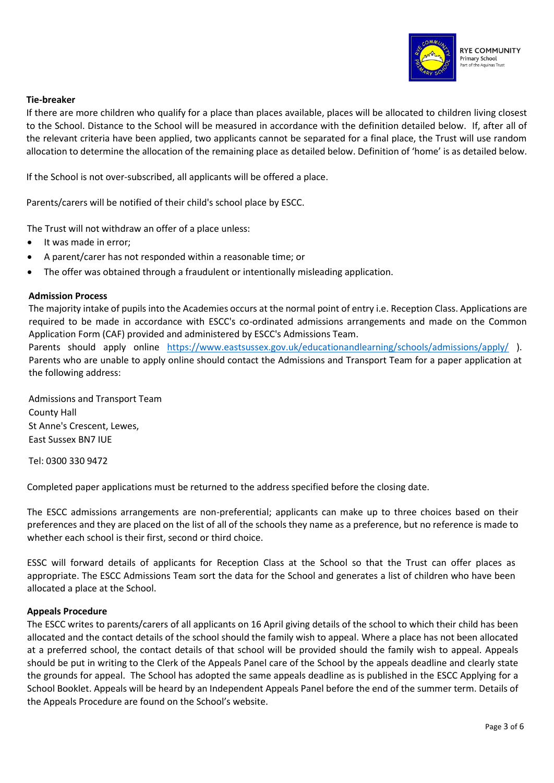

#### **Tie-breaker**

If there are more children who qualify for a place than places available, places will be allocated to children living closest to the School. Distance to the School will be measured in accordance with the definition detailed below. If, after all of the relevant criteria have been applied, two applicants cannot be separated for a final place, the Trust will use random allocation to determine the allocation of the remaining place as detailed below. Definition of 'home' is as detailed below.

If the School is not over-subscribed, all applicants will be offered a place.

Parents/carers will be notified of their child's school place by ESCC.

The Trust will not withdraw an offer of a place unless:

- It was made in error;
- A parent/carer has not responded within a reasonable time; or
- The offer was obtained through a fraudulent or intentionally misleading application.

#### **Admission Process**

The majority intake of pupils into the Academies occurs at the normal point of entry i.e. Reception Class. Applications are required to be made in accordance with ESCC's co-ordinated admissions arrangements and made on the Common Application Form (CAF) provided and administered by ESCC's Admissions Team.

Parents should apply online <https://www.eastsussex.gov.uk/educationandlearning/schools/admissions/apply/> ). Parents who are unable to apply online should contact the Admissions and Transport Team for a paper application at the following address:

Admissions and Transport Team County Hall St Anne's Crescent, Lewes, East Sussex BN7 IUE

Tel: 0300 330 9472

Completed paper applications must be returned to the address specified before the closing date.

The ESCC admissions arrangements are non-preferential; applicants can make up to three choices based on their preferences and they are placed on the list of all of the schools they name as a preference, but no reference is made to whether each school is their first, second or third choice.

ESSC will forward details of applicants for Reception Class at the School so that the Trust can offer places as appropriate. The ESCC Admissions Team sort the data for the School and generates a list of children who have been allocated a place at the School.

#### **Appeals Procedure**

The ESCC writes to parents/carers of all applicants on 16 April giving details of the school to which their child has been allocated and the contact details of the school should the family wish to appeal. Where a place has not been allocated at a preferred school, the contact details of that school will be provided should the family wish to appeal. Appeals should be put in writing to the Clerk of the Appeals Panel care of the School by the appeals deadline and clearly state the grounds for appeal. The School has adopted the same appeals deadline as is published in the ESCC Applying for a School Booklet. Appeals will be heard by an Independent Appeals Panel before the end of the summer term. Details of the Appeals Procedure are found on the School's website.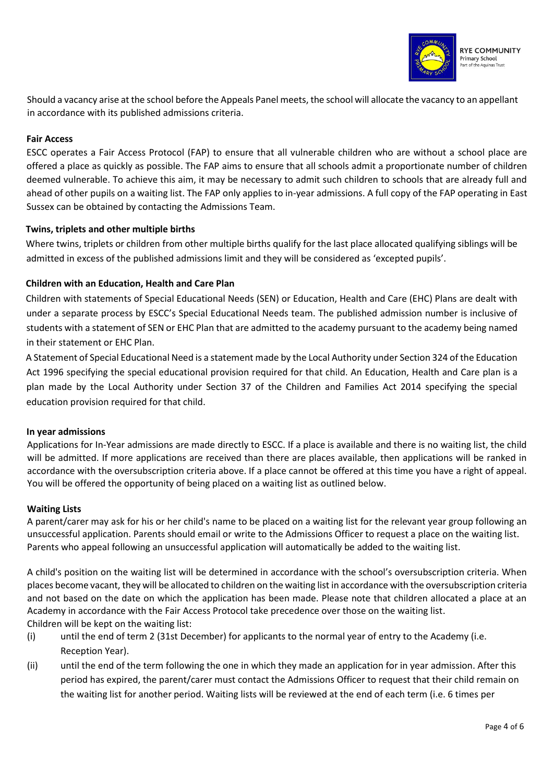

Should a vacancy arise at the school before the Appeals Panel meets, the school will allocate the vacancy to an appellant in accordance with its published admissions criteria.

# **Fair Access**

ESCC operates a Fair Access Protocol (FAP) to ensure that all vulnerable children who are without a school place are offered a place as quickly as possible. The FAP aims to ensure that all schools admit a proportionate number of children deemed vulnerable. To achieve this aim, it may be necessary to admit such children to schools that are already full and ahead of other pupils on a waiting list. The FAP only applies to in-year admissions. A full copy of the FAP operating in East Sussex can be obtained by contacting the Admissions Team.

# **Twins, triplets and other multiple births**

Where twins, triplets or children from other multiple births qualify for the last place allocated qualifying siblings will be admitted in excess of the published admissions limit and they will be considered as 'excepted pupils'.

# **Children with an Education, Health and Care Plan**

Children with statements of Special Educational Needs (SEN) or Education, Health and Care (EHC) Plans are dealt with under a separate process by ESCC's Special Educational Needs team. The published admission number is inclusive of students with a statement of SEN or EHC Plan that are admitted to the academy pursuant to the academy being named in their statement or EHC Plan.

A Statement of Special Educational Need is a statement made by the Local Authority under Section 324 of the Education Act 1996 specifying the special educational provision required for that child. An Education, Health and Care plan is a plan made by the Local Authority under Section 37 of the Children and Families Act 2014 specifying the special education provision required for that child.

# **In year admissions**

Applications for In-Year admissions are made directly to ESCC. If a place is available and there is no waiting list, the child will be admitted. If more applications are received than there are places available, then applications will be ranked in accordance with the oversubscription criteria above. If a place cannot be offered at this time you have a right of appeal. You will be offered the opportunity of being placed on a waiting list as outlined below.

# **Waiting Lists**

A parent/carer may ask for his or her child's name to be placed on a waiting list for the relevant year group following an unsuccessful application. Parents should email or write to the Admissions Officer to request a place on the waiting list. Parents who appeal following an unsuccessful application will automatically be added to the waiting list.

A child's position on the waiting list will be determined in accordance with the school's oversubscription criteria. When places become vacant, they will be allocated to children on the waiting list in accordance with the oversubscription criteria and not based on the date on which the application has been made. Please note that children allocated a place at an Academy in accordance with the Fair Access Protocol take precedence over those on the waiting list. Children will be kept on the waiting list:

- (i) until the end of term 2 (31st December) for applicants to the normal year of entry to the Academy (i.e. Reception Year).
- (ii) until the end of the term following the one in which they made an application for in year admission. After this period has expired, the parent/carer must contact the Admissions Officer to request that their child remain on the waiting list for another period. Waiting lists will be reviewed at the end of each term (i.e. 6 times per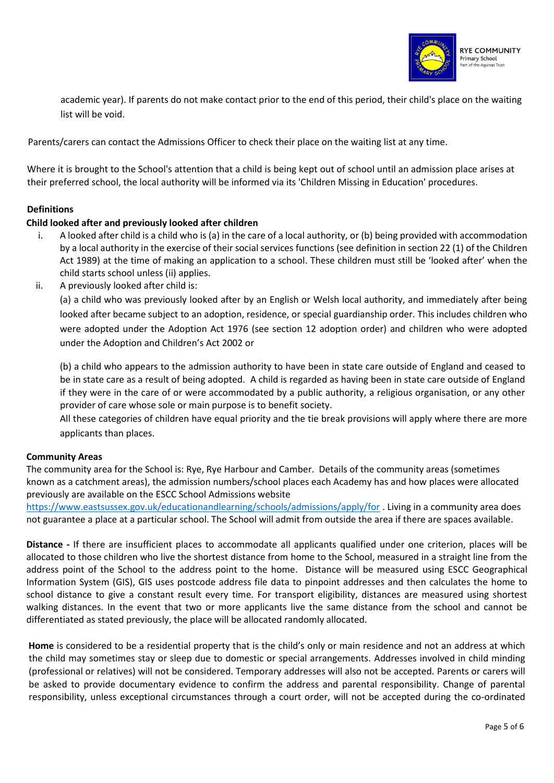

academic year). If parents do not make contact prior to the end of this period, their child's place on the waiting list will be void.

Parents/carers can contact the Admissions Officer to check their place on the waiting list at any time.

Where it is brought to the School's attention that a child is being kept out of school until an admission place arises at their preferred school, the local authority will be informed via its 'Children Missing in Education' procedures.

# **Definitions**

# **Child looked after and previously looked after children**

- i. A looked after child is a child who is (a) in the care of a local authority, or (b) being provided with accommodation by a local authority in the exercise of their social services functions (see definition in section 22 (1) of the Children Act 1989) at the time of making an application to a school. These children must still be 'looked after' when the child starts school unless (ii) applies.
- ii. A previously looked after child is:

(a) a child who was previously looked after by an English or Welsh local authority, and immediately after being looked after became subject to an adoption, residence, or special guardianship order. This includes children who were adopted under the Adoption Act 1976 (see section 12 adoption order) and children who were adopted under the Adoption and Children's Act 2002 or

(b) a child who appears to the admission authority to have been in state care outside of England and ceased to be in state care as a result of being adopted. A child is regarded as having been in state care outside of England if they were in the care of or were accommodated by a public authority, a religious organisation, or any other provider of care whose sole or main purpose is to benefit society.

All these categories of children have equal priority and the tie break provisions will apply where there are more applicants than places.

# **Community Areas**

The community area for the School is: Rye, Rye Harbour and Camber. Details of the community areas (sometimes known as a catchment areas), the admission numbers/school places each Academy has and how places were allocated previously are available on the ESCC School Admissions website

<https://www.eastsussex.gov.uk/educationandlearning/schools/admissions/apply/for> . Living in a community area does not guarantee a place at a particular school. The School will admit from outside the area if there are spaces available.

**Distance -** If there are insufficient places to accommodate all applicants qualified under one criterion, places will be allocated to those children who live the shortest distance from home to the School, measured in a straight line from the address point of the School to the address point to the home. Distance will be measured using ESCC Geographical Information System (GIS), GIS uses postcode address file data to pinpoint addresses and then calculates the home to school distance to give a constant result every time. For transport eligibility, distances are measured using shortest walking distances. In the event that two or more applicants live the same distance from the school and cannot be differentiated as stated previously, the place will be allocated randomly allocated.

**Home** is considered to be a residential property that is the child's only or main residence and not an address at which the child may sometimes stay or sleep due to domestic or special arrangements. Addresses involved in child minding (professional or relatives) will not be considered. Temporary addresses will also not be accepted. Parents or carers will be asked to provide documentary evidence to confirm the address and parental responsibility. Change of parental responsibility, unless exceptional circumstances through a court order, will not be accepted during the co-ordinated